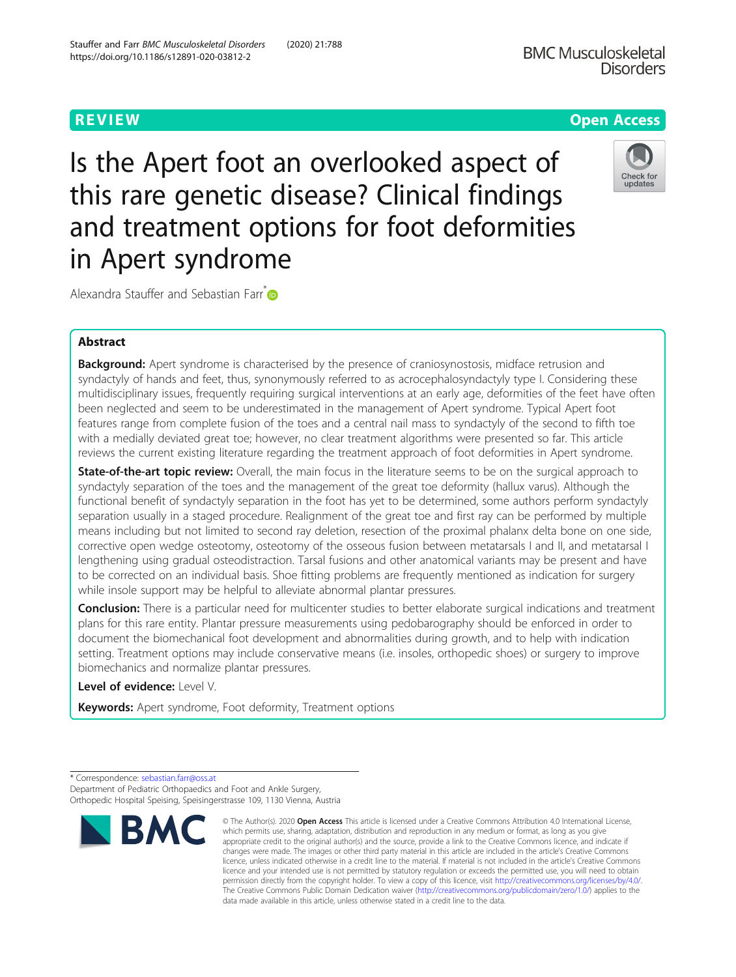# Is the Apert foot an overlooked aspect of this rare genetic disease? Clinical findings and treatment options for foot deformities in Apert syndrome

Alexandra Stauffer and Sebastian Farr<sup>[\\*](http://orcid.org/0000-0003-3250-2593)</sup>

# Abstract

**Background:** Apert syndrome is characterised by the presence of craniosynostosis, midface retrusion and syndactyly of hands and feet, thus, synonymously referred to as acrocephalosyndactyly type I. Considering these multidisciplinary issues, frequently requiring surgical interventions at an early age, deformities of the feet have often been neglected and seem to be underestimated in the management of Apert syndrome. Typical Apert foot features range from complete fusion of the toes and a central nail mass to syndactyly of the second to fifth toe with a medially deviated great toe; however, no clear treatment algorithms were presented so far. This article reviews the current existing literature regarding the treatment approach of foot deformities in Apert syndrome.

State-of-the-art topic review: Overall, the main focus in the literature seems to be on the surgical approach to syndactyly separation of the toes and the management of the great toe deformity (hallux varus). Although the functional benefit of syndactyly separation in the foot has yet to be determined, some authors perform syndactyly separation usually in a staged procedure. Realignment of the great toe and first ray can be performed by multiple means including but not limited to second ray deletion, resection of the proximal phalanx delta bone on one side, corrective open wedge osteotomy, osteotomy of the osseous fusion between metatarsals I and II, and metatarsal I lengthening using gradual osteodistraction. Tarsal fusions and other anatomical variants may be present and have to be corrected on an individual basis. Shoe fitting problems are frequently mentioned as indication for surgery while insole support may be helpful to alleviate abnormal plantar pressures.

**Conclusion:** There is a particular need for multicenter studies to better elaborate surgical indications and treatment plans for this rare entity. Plantar pressure measurements using pedobarography should be enforced in order to document the biomechanical foot development and abnormalities during growth, and to help with indication setting. Treatment options may include conservative means (i.e. insoles, orthopedic shoes) or surgery to improve biomechanics and normalize plantar pressures.

Level of evidence: Level V.

Keywords: Apert syndrome, Foot deformity, Treatment options

\* Correspondence: [sebastian.farr@oss.at](mailto:sebastian.farr@oss.at) Department of Pediatric Orthopaedics and Foot and Ankle Surgery, Orthopedic Hospital Speising, Speisingerstrasse 109, 1130 Vienna, Austria



**BMC Musculoskeletal Disorders** 



© The Author(s), 2020 **Open Access** This article is licensed under a Creative Commons Attribution 4.0 International License, which permits use, sharing, adaptation, distribution and reproduction in any medium or format, as long as you give appropriate credit to the original author(s) and the source, provide a link to the Creative Commons licence, and indicate if changes were made. The images or other third party material in this article are included in the article's Creative Commons licence, unless indicated otherwise in a credit line to the material. If material is not included in the article's Creative Commons licence and your intended use is not permitted by statutory regulation or exceeds the permitted use, you will need to obtain permission directly from the copyright holder. To view a copy of this licence, visit [http://creativecommons.org/licenses/by/4.0/.](http://creativecommons.org/licenses/by/4.0/) The Creative Commons Public Domain Dedication waiver [\(http://creativecommons.org/publicdomain/zero/1.0/](http://creativecommons.org/publicdomain/zero/1.0/)) applies to the data made available in this article, unless otherwise stated in a credit line to the data.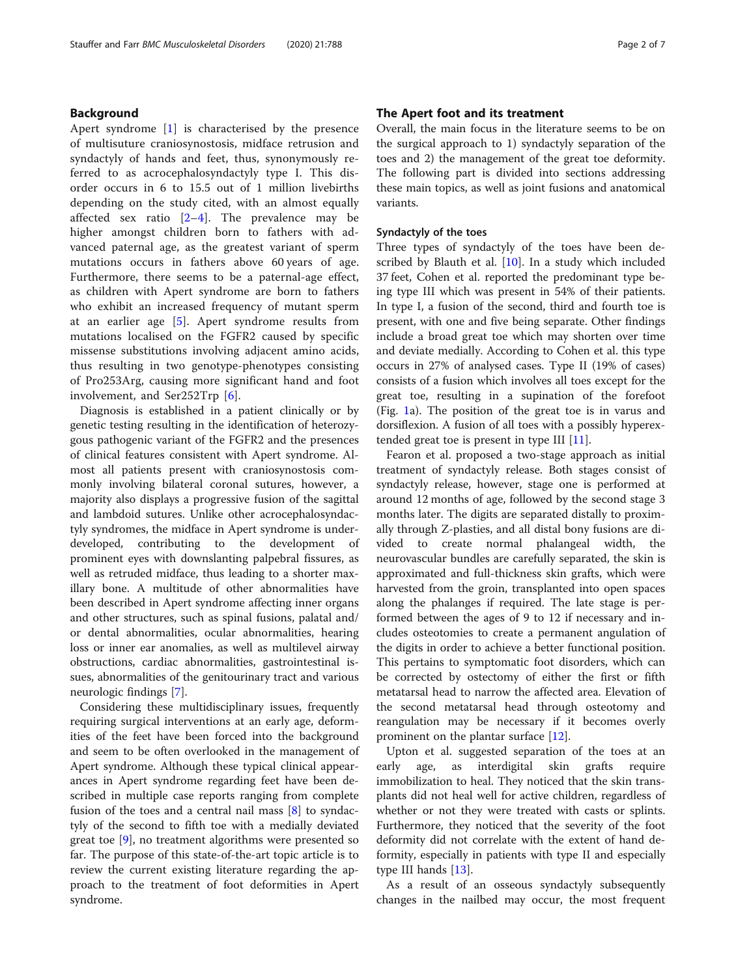# Background

Apert syndrome [\[1](#page-5-0)] is characterised by the presence of multisuture craniosynostosis, midface retrusion and syndactyly of hands and feet, thus, synonymously referred to as acrocephalosyndactyly type I. This disorder occurs in 6 to 15.5 out of 1 million livebirths depending on the study cited, with an almost equally affected sex ratio  $[2-4]$  $[2-4]$  $[2-4]$  $[2-4]$ . The prevalence may be higher amongst children born to fathers with advanced paternal age, as the greatest variant of sperm mutations occurs in fathers above 60 years of age. Furthermore, there seems to be a paternal-age effect, as children with Apert syndrome are born to fathers who exhibit an increased frequency of mutant sperm at an earlier age [[5\]](#page-5-0). Apert syndrome results from mutations localised on the FGFR2 caused by specific missense substitutions involving adjacent amino acids, thus resulting in two genotype-phenotypes consisting of Pro253Arg, causing more significant hand and foot involvement, and Ser252Trp [[6\]](#page-5-0).

Diagnosis is established in a patient clinically or by genetic testing resulting in the identification of heterozygous pathogenic variant of the FGFR2 and the presences of clinical features consistent with Apert syndrome. Almost all patients present with craniosynostosis commonly involving bilateral coronal sutures, however, a majority also displays a progressive fusion of the sagittal and lambdoid sutures. Unlike other acrocephalosyndactyly syndromes, the midface in Apert syndrome is underdeveloped, contributing to the development of prominent eyes with downslanting palpebral fissures, as well as retruded midface, thus leading to a shorter maxillary bone. A multitude of other abnormalities have been described in Apert syndrome affecting inner organs and other structures, such as spinal fusions, palatal and/ or dental abnormalities, ocular abnormalities, hearing loss or inner ear anomalies, as well as multilevel airway obstructions, cardiac abnormalities, gastrointestinal issues, abnormalities of the genitourinary tract and various neurologic findings [[7](#page-5-0)].

Considering these multidisciplinary issues, frequently requiring surgical interventions at an early age, deformities of the feet have been forced into the background and seem to be often overlooked in the management of Apert syndrome. Although these typical clinical appearances in Apert syndrome regarding feet have been described in multiple case reports ranging from complete fusion of the toes and a central nail mass [\[8\]](#page-5-0) to syndactyly of the second to fifth toe with a medially deviated great toe [\[9](#page-5-0)], no treatment algorithms were presented so far. The purpose of this state-of-the-art topic article is to review the current existing literature regarding the approach to the treatment of foot deformities in Apert syndrome.

# The Apert foot and its treatment

Overall, the main focus in the literature seems to be on the surgical approach to 1) syndactyly separation of the toes and 2) the management of the great toe deformity. The following part is divided into sections addressing these main topics, as well as joint fusions and anatomical variants.

#### Syndactyly of the toes

Three types of syndactyly of the toes have been described by Blauth et al. [\[10](#page-5-0)]. In a study which included 37 feet, Cohen et al. reported the predominant type being type III which was present in 54% of their patients. In type I, a fusion of the second, third and fourth toe is present, with one and five being separate. Other findings include a broad great toe which may shorten over time and deviate medially. According to Cohen et al. this type occurs in 27% of analysed cases. Type II (19% of cases) consists of a fusion which involves all toes except for the great toe, resulting in a supination of the forefoot (Fig. [1a](#page-2-0)). The position of the great toe is in varus and dorsiflexion. A fusion of all toes with a possibly hyperextended great toe is present in type III [[11](#page-5-0)].

Fearon et al. proposed a two-stage approach as initial treatment of syndactyly release. Both stages consist of syndactyly release, however, stage one is performed at around 12 months of age, followed by the second stage 3 months later. The digits are separated distally to proximally through Z-plasties, and all distal bony fusions are divided to create normal phalangeal width, the neurovascular bundles are carefully separated, the skin is approximated and full-thickness skin grafts, which were harvested from the groin, transplanted into open spaces along the phalanges if required. The late stage is performed between the ages of 9 to 12 if necessary and includes osteotomies to create a permanent angulation of the digits in order to achieve a better functional position. This pertains to symptomatic foot disorders, which can be corrected by ostectomy of either the first or fifth metatarsal head to narrow the affected area. Elevation of the second metatarsal head through osteotomy and reangulation may be necessary if it becomes overly prominent on the plantar surface [[12\]](#page-5-0).

Upton et al. suggested separation of the toes at an early age, as interdigital skin grafts require immobilization to heal. They noticed that the skin transplants did not heal well for active children, regardless of whether or not they were treated with casts or splints. Furthermore, they noticed that the severity of the foot deformity did not correlate with the extent of hand deformity, especially in patients with type II and especially type III hands [[13\]](#page-5-0).

As a result of an osseous syndactyly subsequently changes in the nailbed may occur, the most frequent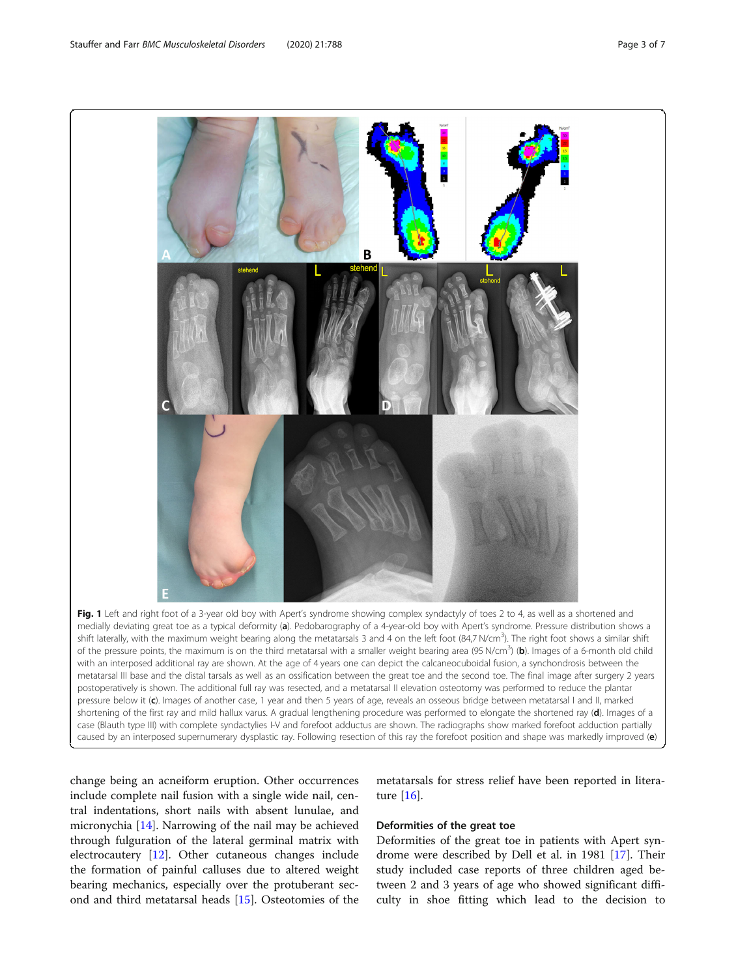<span id="page-2-0"></span>

change being an acneiform eruption. Other occurrences include complete nail fusion with a single wide nail, central indentations, short nails with absent lunulae, and micronychia [\[14](#page-5-0)]. Narrowing of the nail may be achieved through fulguration of the lateral germinal matrix with electrocautery [\[12](#page-5-0)]. Other cutaneous changes include the formation of painful calluses due to altered weight bearing mechanics, especially over the protuberant second and third metatarsal heads [[15\]](#page-5-0). Osteotomies of the

metatarsals for stress relief have been reported in literature [\[16](#page-5-0)].

#### Deformities of the great toe

Deformities of the great toe in patients with Apert syndrome were described by Dell et al. in 1981 [\[17\]](#page-5-0). Their study included case reports of three children aged between 2 and 3 years of age who showed significant difficulty in shoe fitting which lead to the decision to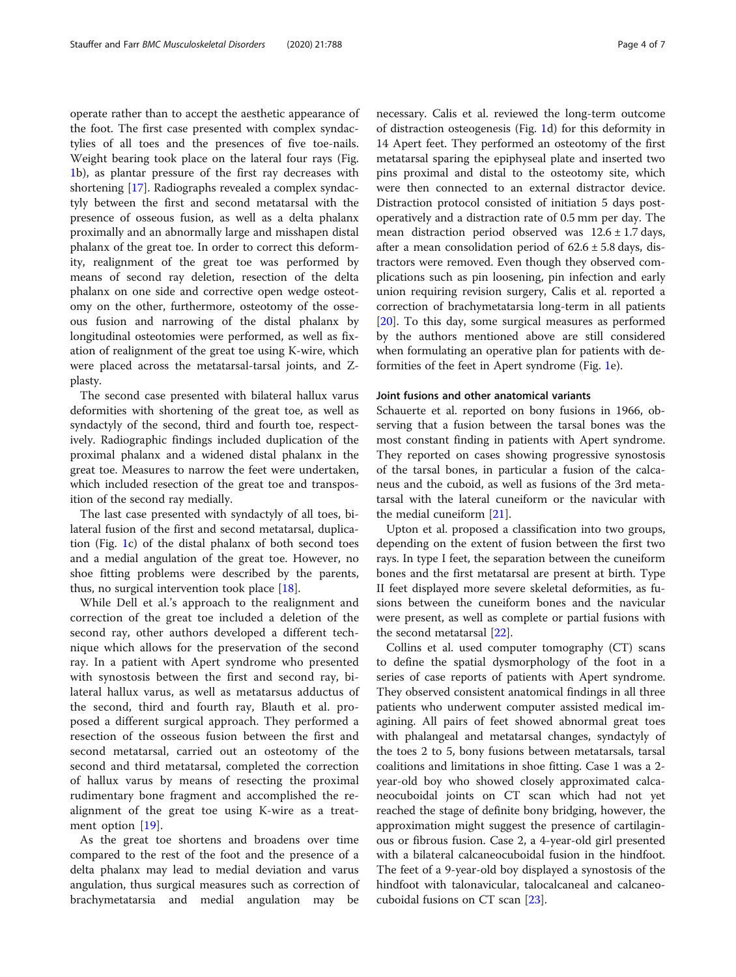operate rather than to accept the aesthetic appearance of the foot. The first case presented with complex syndactylies of all toes and the presences of five toe-nails. Weight bearing took place on the lateral four rays (Fig. [1b](#page-2-0)), as plantar pressure of the first ray decreases with shortening [\[17](#page-5-0)]. Radiographs revealed a complex syndactyly between the first and second metatarsal with the presence of osseous fusion, as well as a delta phalanx proximally and an abnormally large and misshapen distal phalanx of the great toe. In order to correct this deformity, realignment of the great toe was performed by means of second ray deletion, resection of the delta phalanx on one side and corrective open wedge osteotomy on the other, furthermore, osteotomy of the osseous fusion and narrowing of the distal phalanx by longitudinal osteotomies were performed, as well as fixation of realignment of the great toe using K-wire, which were placed across the metatarsal-tarsal joints, and Zplasty.

The second case presented with bilateral hallux varus deformities with shortening of the great toe, as well as syndactyly of the second, third and fourth toe, respectively. Radiographic findings included duplication of the proximal phalanx and a widened distal phalanx in the great toe. Measures to narrow the feet were undertaken, which included resection of the great toe and transposition of the second ray medially.

The last case presented with syndactyly of all toes, bilateral fusion of the first and second metatarsal, duplication (Fig. [1c](#page-2-0)) of the distal phalanx of both second toes and a medial angulation of the great toe. However, no shoe fitting problems were described by the parents, thus, no surgical intervention took place [\[18](#page-5-0)].

While Dell et al.'s approach to the realignment and correction of the great toe included a deletion of the second ray, other authors developed a different technique which allows for the preservation of the second ray. In a patient with Apert syndrome who presented with synostosis between the first and second ray, bilateral hallux varus, as well as metatarsus adductus of the second, third and fourth ray, Blauth et al. proposed a different surgical approach. They performed a resection of the osseous fusion between the first and second metatarsal, carried out an osteotomy of the second and third metatarsal, completed the correction of hallux varus by means of resecting the proximal rudimentary bone fragment and accomplished the realignment of the great toe using K-wire as a treatment option [\[19](#page-5-0)].

As the great toe shortens and broadens over time compared to the rest of the foot and the presence of a delta phalanx may lead to medial deviation and varus angulation, thus surgical measures such as correction of brachymetatarsia and medial angulation may be necessary. Calis et al. reviewed the long-term outcome of distraction osteogenesis (Fig. [1d](#page-2-0)) for this deformity in 14 Apert feet. They performed an osteotomy of the first metatarsal sparing the epiphyseal plate and inserted two pins proximal and distal to the osteotomy site, which were then connected to an external distractor device. Distraction protocol consisted of initiation 5 days postoperatively and a distraction rate of 0.5 mm per day. The mean distraction period observed was  $12.6 \pm 1.7$  days, after a mean consolidation period of  $62.6 \pm 5.8$  days, distractors were removed. Even though they observed complications such as pin loosening, pin infection and early union requiring revision surgery, Calis et al. reported a correction of brachymetatarsia long-term in all patients [[20\]](#page-5-0). To this day, some surgical measures as performed by the authors mentioned above are still considered when formulating an operative plan for patients with deformities of the feet in Apert syndrome (Fig. [1](#page-2-0)e).

#### Joint fusions and other anatomical variants

Schauerte et al. reported on bony fusions in 1966, observing that a fusion between the tarsal bones was the most constant finding in patients with Apert syndrome. They reported on cases showing progressive synostosis of the tarsal bones, in particular a fusion of the calcaneus and the cuboid, as well as fusions of the 3rd metatarsal with the lateral cuneiform or the navicular with the medial cuneiform [[21\]](#page-5-0).

Upton et al. proposed a classification into two groups, depending on the extent of fusion between the first two rays. In type I feet, the separation between the cuneiform bones and the first metatarsal are present at birth. Type II feet displayed more severe skeletal deformities, as fusions between the cuneiform bones and the navicular were present, as well as complete or partial fusions with the second metatarsal [\[22\]](#page-5-0).

Collins et al. used computer tomography (CT) scans to define the spatial dysmorphology of the foot in a series of case reports of patients with Apert syndrome. They observed consistent anatomical findings in all three patients who underwent computer assisted medical imagining. All pairs of feet showed abnormal great toes with phalangeal and metatarsal changes, syndactyly of the toes 2 to 5, bony fusions between metatarsals, tarsal coalitions and limitations in shoe fitting. Case 1 was a 2 year-old boy who showed closely approximated calcaneocuboidal joints on CT scan which had not yet reached the stage of definite bony bridging, however, the approximation might suggest the presence of cartilaginous or fibrous fusion. Case 2, a 4-year-old girl presented with a bilateral calcaneocuboidal fusion in the hindfoot. The feet of a 9-year-old boy displayed a synostosis of the hindfoot with talonavicular, talocalcaneal and calcaneocuboidal fusions on CT scan [[23\]](#page-5-0).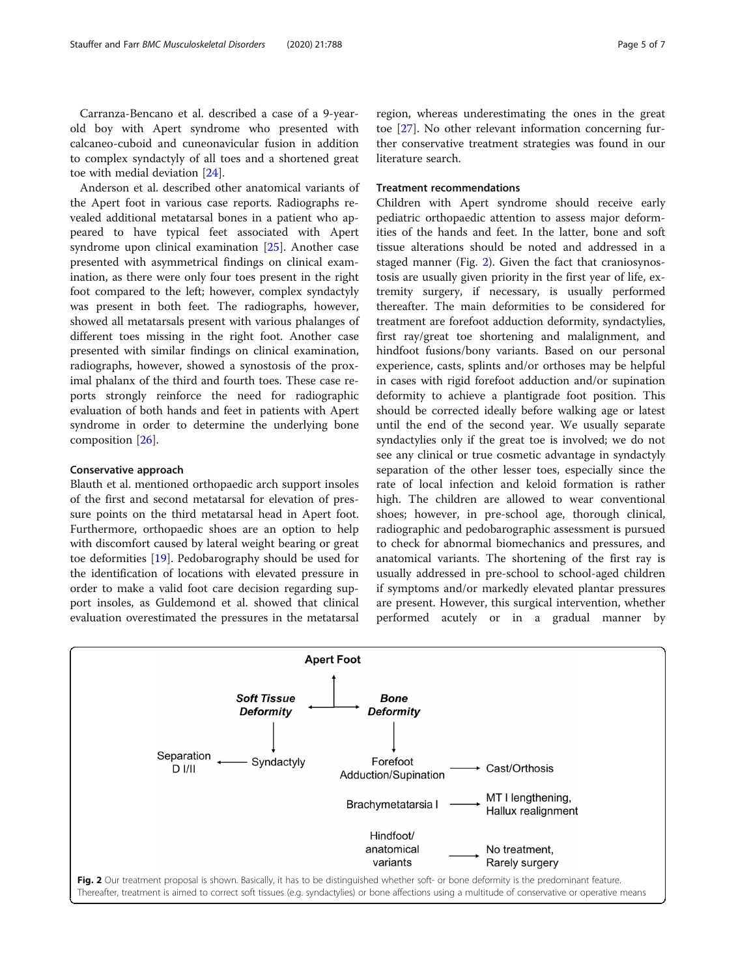Carranza-Bencano et al. described a case of a 9-yearold boy with Apert syndrome who presented with calcaneo-cuboid and cuneonavicular fusion in addition to complex syndactyly of all toes and a shortened great toe with medial deviation [[24\]](#page-6-0).

Anderson et al. described other anatomical variants of the Apert foot in various case reports. Radiographs revealed additional metatarsal bones in a patient who appeared to have typical feet associated with Apert syndrome upon clinical examination [\[25](#page-6-0)]. Another case presented with asymmetrical findings on clinical examination, as there were only four toes present in the right foot compared to the left; however, complex syndactyly was present in both feet. The radiographs, however, showed all metatarsals present with various phalanges of different toes missing in the right foot. Another case presented with similar findings on clinical examination, radiographs, however, showed a synostosis of the proximal phalanx of the third and fourth toes. These case reports strongly reinforce the need for radiographic evaluation of both hands and feet in patients with Apert syndrome in order to determine the underlying bone composition [\[26](#page-6-0)].

### Conservative approach

Blauth et al. mentioned orthopaedic arch support insoles of the first and second metatarsal for elevation of pressure points on the third metatarsal head in Apert foot. Furthermore, orthopaedic shoes are an option to help with discomfort caused by lateral weight bearing or great toe deformities [\[19\]](#page-5-0). Pedobarography should be used for the identification of locations with elevated pressure in order to make a valid foot care decision regarding support insoles, as Guldemond et al. showed that clinical evaluation overestimated the pressures in the metatarsal

region, whereas underestimating the ones in the great toe [\[27](#page-6-0)]. No other relevant information concerning further conservative treatment strategies was found in our literature search.

### Treatment recommendations

Children with Apert syndrome should receive early pediatric orthopaedic attention to assess major deformities of the hands and feet. In the latter, bone and soft tissue alterations should be noted and addressed in a staged manner (Fig. 2). Given the fact that craniosynostosis are usually given priority in the first year of life, extremity surgery, if necessary, is usually performed thereafter. The main deformities to be considered for treatment are forefoot adduction deformity, syndactylies, first ray/great toe shortening and malalignment, and hindfoot fusions/bony variants. Based on our personal experience, casts, splints and/or orthoses may be helpful in cases with rigid forefoot adduction and/or supination deformity to achieve a plantigrade foot position. This should be corrected ideally before walking age or latest until the end of the second year. We usually separate syndactylies only if the great toe is involved; we do not see any clinical or true cosmetic advantage in syndactyly separation of the other lesser toes, especially since the rate of local infection and keloid formation is rather high. The children are allowed to wear conventional shoes; however, in pre-school age, thorough clinical, radiographic and pedobarographic assessment is pursued to check for abnormal biomechanics and pressures, and anatomical variants. The shortening of the first ray is usually addressed in pre-school to school-aged children if symptoms and/or markedly elevated plantar pressures are present. However, this surgical intervention, whether performed acutely or in a gradual manner by

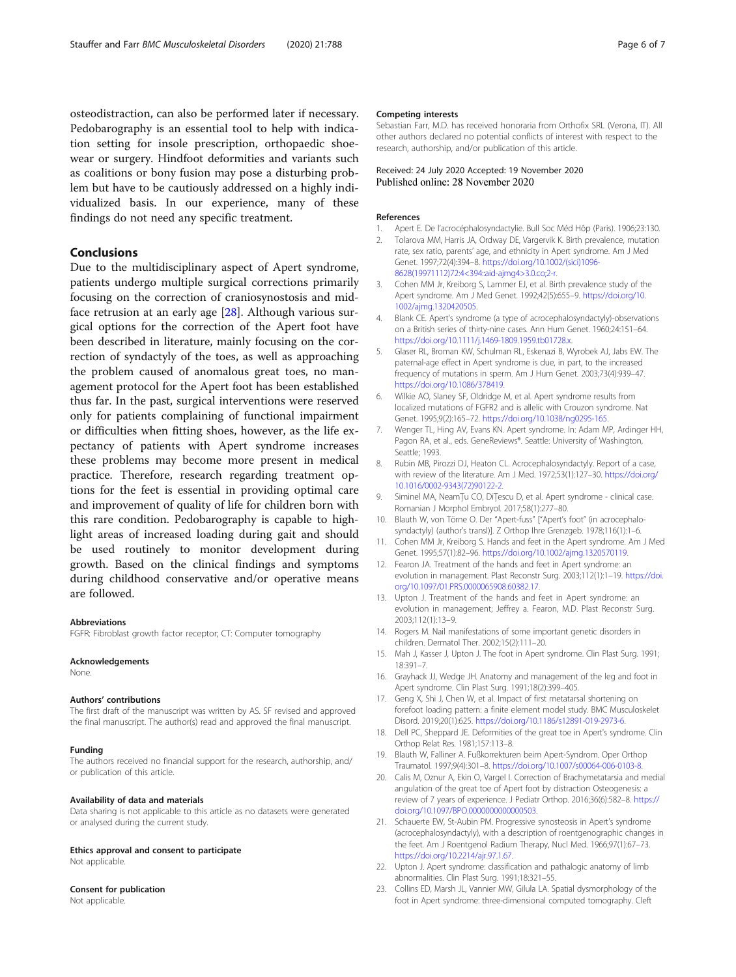<span id="page-5-0"></span>osteodistraction, can also be performed later if necessary. Pedobarography is an essential tool to help with indication setting for insole prescription, orthopaedic shoewear or surgery. Hindfoot deformities and variants such as coalitions or bony fusion may pose a disturbing problem but have to be cautiously addressed on a highly individualized basis. In our experience, many of these findings do not need any specific treatment.

# Conclusions

Due to the multidisciplinary aspect of Apert syndrome, patients undergo multiple surgical corrections primarily focusing on the correction of craniosynostosis and midface retrusion at an early age [[28\]](#page-6-0). Although various surgical options for the correction of the Apert foot have been described in literature, mainly focusing on the correction of syndactyly of the toes, as well as approaching the problem caused of anomalous great toes, no management protocol for the Apert foot has been established thus far. In the past, surgical interventions were reserved only for patients complaining of functional impairment or difficulties when fitting shoes, however, as the life expectancy of patients with Apert syndrome increases these problems may become more present in medical practice. Therefore, research regarding treatment options for the feet is essential in providing optimal care and improvement of quality of life for children born with this rare condition. Pedobarography is capable to highlight areas of increased loading during gait and should be used routinely to monitor development during growth. Based on the clinical findings and symptoms during childhood conservative and/or operative means are followed.

#### Abbreviations

FGFR: Fibroblast growth factor receptor; CT: Computer tomography

#### Acknowledgements

None.

#### Authors' contributions

The first draft of the manuscript was written by AS. SF revised and approved the final manuscript. The author(s) read and approved the final manuscript.

#### Funding

The authors received no financial support for the research, authorship, and/ or publication of this article.

#### Availability of data and materials

Data sharing is not applicable to this article as no datasets were generated or analysed during the current study.

#### Ethics approval and consent to participate

Not applicable.

### Consent for publication

Not applicable.

#### Competing interests

Sebastian Farr, M.D. has received honoraria from Orthofix SRL (Verona, IT). All other authors declared no potential conflicts of interest with respect to the research, authorship, and/or publication of this article.

# Received: 24 July 2020 Accepted: 19 November 2020 Published online: 28 November 2020

#### References

- 1. Apert E. De l'acrocéphalosyndactylie. Bull Soc Méd Hôp (Paris). 1906;23:130.
- 2. Tolarova MM, Harris JA, Ordway DE, Vargervik K. Birth prevalence, mutation rate, sex ratio, parents' age, and ethnicity in Apert syndrome. Am J Med Genet. 1997;72(4):394–8. [https://doi.org/10.1002/\(sici\)1096-](https://doi.org/10.1002/(sici)1096-8628(19971112)72:4<394::aid-ajmg4>3.0.co;2-r) [8628\(19971112\)72:4<394::aid-ajmg4>3.0.co;2-r](https://doi.org/10.1002/(sici)1096-8628(19971112)72:4<394::aid-ajmg4>3.0.co;2-r).
- 3. Cohen MM Jr, Kreiborg S, Lammer EJ, et al. Birth prevalence study of the Apert syndrome. Am J Med Genet. 1992;42(5):655–9. [https://doi.org/10.](https://doi.org/10.1002/ajmg.1320420505) [1002/ajmg.1320420505](https://doi.org/10.1002/ajmg.1320420505).
- 4. Blank CE. Apert's syndrome (a type of acrocephalosyndactyly)-observations on a British series of thirty-nine cases. Ann Hum Genet. 1960;24:151–64. <https://doi.org/10.1111/j.1469-1809.1959.tb01728.x>.
- 5. Glaser RL, Broman KW, Schulman RL, Eskenazi B, Wyrobek AJ, Jabs EW. The paternal-age effect in Apert syndrome is due, in part, to the increased frequency of mutations in sperm. Am J Hum Genet. 2003;73(4):939–47. <https://doi.org/10.1086/378419>.
- 6. Wilkie AO, Slaney SF, Oldridge M, et al. Apert syndrome results from localized mutations of FGFR2 and is allelic with Crouzon syndrome. Nat Genet. 1995;9(2):165–72. [https://doi.org/10.1038/ng0295-165.](https://doi.org/10.1038/ng0295-165)
- 7. Wenger TL, Hing AV, Evans KN. Apert syndrome. In: Adam MP, Ardinger HH, Pagon RA, et al., eds. GeneReviews®. Seattle: University of Washington, Seattle; 1993.
- 8. Rubin MB, Pirozzi DJ, Heaton CL. Acrocephalosyndactyly. Report of a case, with review of the literature. Am J Med. 1972;53(1):127-30. [https://doi.org/](https://doi.org/10.1016/0002-9343(72)90122-2) [10.1016/0002-9343\(72\)90122-2](https://doi.org/10.1016/0002-9343(72)90122-2).
- 9. Siminel MA, NeamȚu CO, DiȚescu D, et al. Apert syndrome clinical case. Romanian J Morphol Embryol. 2017;58(1):277–80.
- 10. Blauth W, von Törne O. Der "Apert-fuss" ["Apert's foot" (in acrocephalosyndactyly) (author's transl)]. Z Orthop Ihre Grenzgeb. 1978;116(1):1–6.
- 11. Cohen MM Jr, Kreiborg S. Hands and feet in the Apert syndrome. Am J Med Genet. 1995;57(1):82–96. [https://doi.org/10.1002/ajmg.1320570119.](https://doi.org/10.1002/ajmg.1320570119)
- 12. Fearon JA. Treatment of the hands and feet in Apert syndrome: an evolution in management. Plast Reconstr Surg. 2003;112(1):1–19. [https://doi.](https://doi.org/10.1097/01.PRS.0000065908.60382.17) [org/10.1097/01.PRS.0000065908.60382.17.](https://doi.org/10.1097/01.PRS.0000065908.60382.17)
- 13. Upton J. Treatment of the hands and feet in Apert syndrome: an evolution in management; Jeffrey a. Fearon, M.D. Plast Reconstr Surg. 2003;112(1):13–9.
- 14. Rogers M. Nail manifestations of some important genetic disorders in children. Dermatol Ther. 2002;15(2):111–20.
- 15. Mah J, Kasser J, Upton J. The foot in Apert syndrome. Clin Plast Surg. 1991; 18:391–7.
- 16. Grayhack JJ, Wedge JH. Anatomy and management of the leg and foot in Apert syndrome. Clin Plast Surg. 1991;18(2):399–405.
- 17. Geng X, Shi J, Chen W, et al. Impact of first metatarsal shortening on forefoot loading pattern: a finite element model study. BMC Musculoskelet Disord. 2019;20(1):625. <https://doi.org/10.1186/s12891-019-2973-6>.
- 18. Dell PC, Sheppard JE. Deformities of the great toe in Apert's syndrome. Clin Orthop Relat Res. 1981;157:113–8.
- 19. Blauth W, Falliner A. Fußkorrekturen beim Apert-Syndrom. Oper Orthop Traumatol. 1997;9(4):301–8. <https://doi.org/10.1007/s00064-006-0103-8>.
- 20. Calis M, Oznur A, Ekin O, Vargel I. Correction of Brachymetatarsia and medial angulation of the great toe of Apert foot by distraction Osteogenesis: a review of 7 years of experience. J Pediatr Orthop. 2016;36(6):582–8. [https://](https://doi.org/10.1097/BPO.0000000000000503) [doi.org/10.1097/BPO.0000000000000503.](https://doi.org/10.1097/BPO.0000000000000503)
- 21. Schauerte EW, St-Aubin PM. Progressive synosteosis in Apert's syndrome (acrocephalosyndactyly), with a description of roentgenographic changes in the feet. Am J Roentgenol Radium Therapy, Nucl Med. 1966;97(1):67–73. <https://doi.org/10.2214/ajr.97.1.67>.
- 22. Upton J. Apert syndrome: classification and pathalogic anatomy of limb abnormalities. Clin Plast Surg. 1991;18:321–55.
- 23. Collins ED, Marsh JL, Vannier MW, Gilula LA. Spatial dysmorphology of the foot in Apert syndrome: three-dimensional computed tomography. Cleft